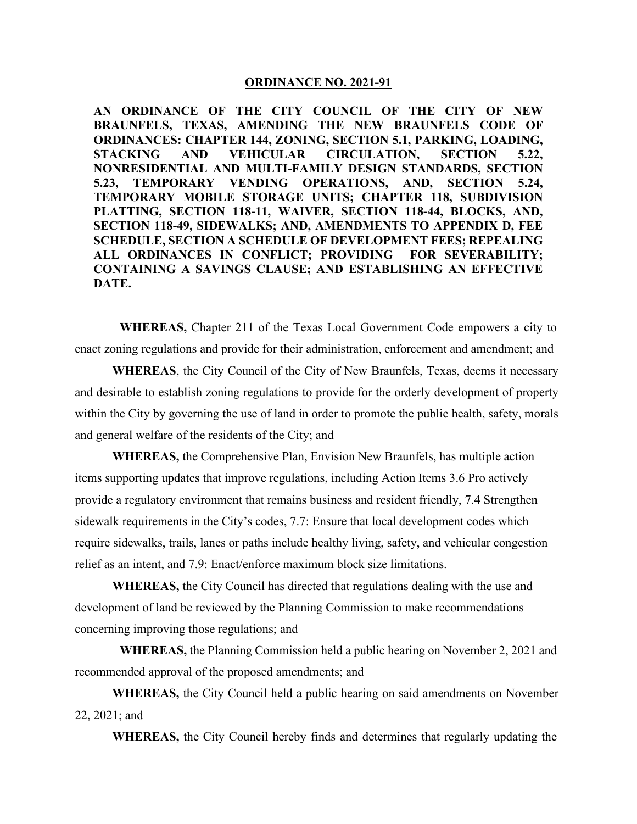#### **ORDINANCE NO. 2021-91**

**AN ORDINANCE OF THE CITY COUNCIL OF THE CITY OF NEW BRAUNFELS, TEXAS, AMENDING THE NEW BRAUNFELS CODE OF ORDINANCES: CHAPTER 144, ZONING, SECTION 5.1, PARKING, LOADING, STACKING AND VEHICULAR CIRCULATION, SECTION 5.22, NONRESIDENTIAL AND MULTI-FAMILY DESIGN STANDARDS, SECTION 5.23, TEMPORARY VENDING OPERATIONS, AND, SECTION 5.24, TEMPORARY MOBILE STORAGE UNITS; CHAPTER 118, SUBDIVISION PLATTING, SECTION 118-11, WAIVER, SECTION 118-44, BLOCKS, AND, SECTION 118-49, SIDEWALKS; AND, AMENDMENTS TO APPENDIX D, FEE SCHEDULE, SECTION A SCHEDULE OF DEVELOPMENT FEES; REPEALING ALL ORDINANCES IN CONFLICT; PROVIDING FOR SEVERABILITY; CONTAINING A SAVINGS CLAUSE; AND ESTABLISHING AN EFFECTIVE DATE.**

**WHEREAS,** Chapter 211 of the Texas Local Government Code empowers a city to enact zoning regulations and provide for their administration, enforcement and amendment; and

**WHEREAS**, the City Council of the City of New Braunfels, Texas, deems it necessary and desirable to establish zoning regulations to provide for the orderly development of property within the City by governing the use of land in order to promote the public health, safety, morals and general welfare of the residents of the City; and

**WHEREAS,** the Comprehensive Plan, Envision New Braunfels, has multiple action items supporting updates that improve regulations, including Action Items 3.6 Pro actively provide a regulatory environment that remains business and resident friendly, 7.4 Strengthen sidewalk requirements in the City's codes, 7.7: Ensure that local development codes which require sidewalks, trails, lanes or paths include healthy living, safety, and vehicular congestion relief as an intent, and 7.9: Enact/enforce maximum block size limitations.

**WHEREAS,** the City Council has directed that regulations dealing with the use and development of land be reviewed by the Planning Commission to make recommendations concerning improving those regulations; and

**WHEREAS,** the Planning Commission held a public hearing on November 2, 2021 and recommended approval of the proposed amendments; and

**WHEREAS,** the City Council held a public hearing on said amendments on November 22, 2021; and

**WHEREAS,** the City Council hereby finds and determines that regularly updating the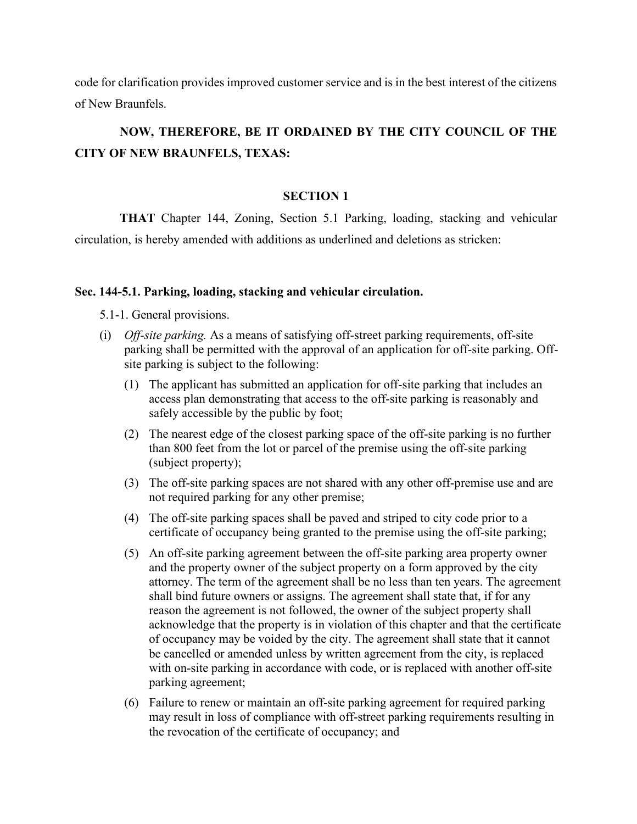code for clarification provides improved customer service and is in the best interest of the citizens of New Braunfels.

# **NOW, THEREFORE, BE IT ORDAINED BY THE CITY COUNCIL OF THE CITY OF NEW BRAUNFELS, TEXAS:**

#### **SECTION 1**

**THAT** Chapter 144, Zoning, Section 5.1 Parking, loading, stacking and vehicular circulation, is hereby amended with additions as underlined and deletions as stricken:

#### **Sec. 144-5.1. Parking, loading, stacking and vehicular circulation.**

5.1-1. General provisions.

- (i) *Off-site parking.* As a means of satisfying off-street parking requirements, off-site parking shall be permitted with the approval of an application for off-site parking. Offsite parking is subject to the following:
	- (1) The applicant has submitted an application for off-site parking that includes an access plan demonstrating that access to the off-site parking is reasonably and safely accessible by the public by foot;
	- (2) The nearest edge of the closest parking space of the off-site parking is no further than 800 feet from the lot or parcel of the premise using the off-site parking (subject property);
	- (3) The off-site parking spaces are not shared with any other off-premise use and are not required parking for any other premise;
	- (4) The off-site parking spaces shall be paved and striped to city code prior to a certificate of occupancy being granted to the premise using the off-site parking;
	- (5) An off-site parking agreement between the off-site parking area property owner and the property owner of the subject property on a form approved by the city attorney. The term of the agreement shall be no less than ten years. The agreement shall bind future owners or assigns. The agreement shall state that, if for any reason the agreement is not followed, the owner of the subject property shall acknowledge that the property is in violation of this chapter and that the certificate of occupancy may be voided by the city. The agreement shall state that it cannot be cancelled or amended unless by written agreement from the city, is replaced with on-site parking in accordance with code, or is replaced with another off-site parking agreement;
	- (6) Failure to renew or maintain an off-site parking agreement for required parking may result in loss of compliance with off-street parking requirements resulting in the revocation of the certificate of occupancy; and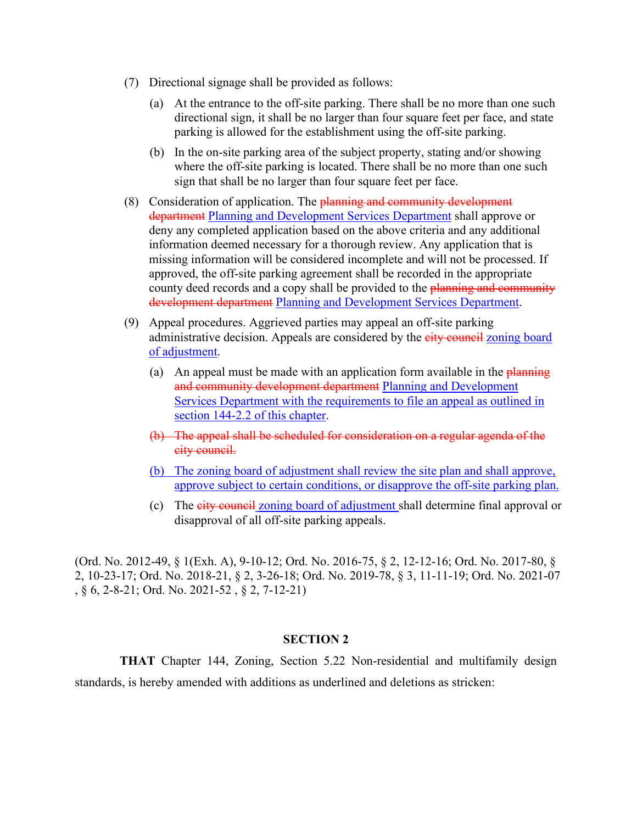- (7) Directional signage shall be provided as follows:
	- (a) At the entrance to the off-site parking. There shall be no more than one such directional sign, it shall be no larger than four square feet per face, and state parking is allowed for the establishment using the off-site parking.
	- (b) In the on-site parking area of the subject property, stating and/or showing where the off-site parking is located. There shall be no more than one such sign that shall be no larger than four square feet per face.
- (8) Consideration of application. The **planning and community development** department Planning and Development Services Department shall approve or deny any completed application based on the above criteria and any additional information deemed necessary for a thorough review. Any application that is missing information will be considered incomplete and will not be processed. If approved, the off-site parking agreement shall be recorded in the appropriate county deed records and a copy shall be provided to the planning and community development department Planning and Development Services Department.
- (9) Appeal procedures. Aggrieved parties may appeal an off-site parking administrative decision. Appeals are considered by the eity council zoning board of adjustment.
	- (a) An appeal must be made with an application form available in the  $\frac{\text{planning}}{\text{planning}}$ and community development department Planning and Development Services Department with the requirements to file an appeal as outlined in section 144-2.2 of this chapter.
	- (b) The appeal shall be scheduled for consideration on a regular agenda of the city council.
	- (b) The zoning board of adjustment shall review the site plan and shall approve, approve subject to certain conditions, or disapprove the off-site parking plan.
	- (c) The city council zoning board of adjustment shall determine final approval or disapproval of all off-site parking appeals.

(Ord. No. 2012-49, § 1(Exh. A), 9-10-12; Ord. No. 2016-75, § 2, 12-12-16; Ord. No. 2017-80, § 2, 10-23-17; Ord. No. 2018-21, § 2, 3-26-18; Ord. No. 2019-78, § 3, 11-11-19; Ord. No. 2021-07 , § 6, 2-8-21; Ord. No. 2021-52 , § 2, 7-12-21)

# **SECTION 2**

**THAT** Chapter 144, Zoning, Section 5.22 Non-residential and multifamily design standards, is hereby amended with additions as underlined and deletions as stricken: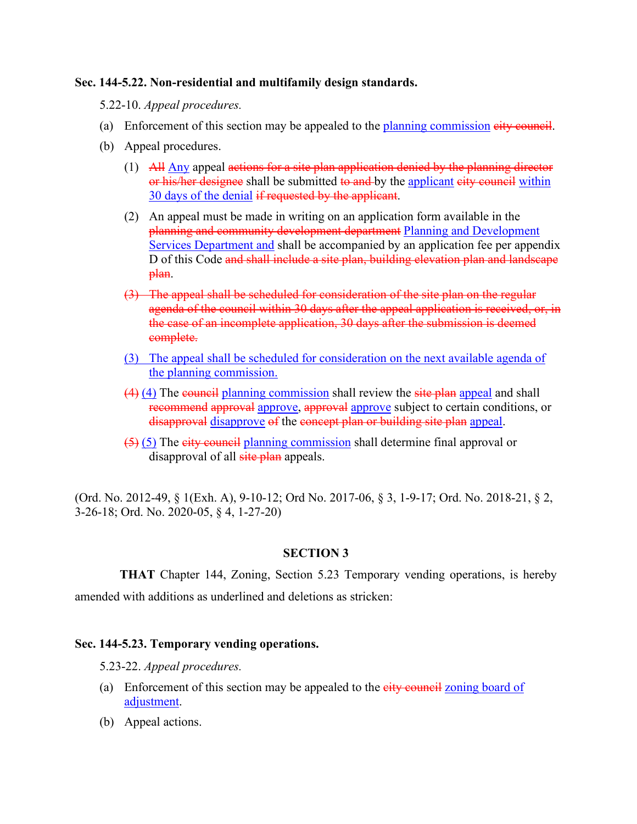# **Sec. 144-5.22. Non-residential and multifamily design standards.**

5.22-10. *Appeal procedures.*

- (a) Enforcement of this section may be appealed to the planning commission eity council.
- (b) Appeal procedures.
	- (1) All Any appeal actions for a site plan application denied by the planning director or his/her designee shall be submitted to and by the applicant eity council within 30 days of the denial if requested by the applicant.
	- (2) An appeal must be made in writing on an application form available in the planning and community development department Planning and Development Services Department and shall be accompanied by an application fee per appendix D of this Code and shall include a site plan, building elevation plan and landscape plan.
	- (3) The appeal shall be scheduled for consideration of the site plan on the regular agenda of the council within 30 days after the appeal application is received, or, in the case of an incomplete application, 30 days after the submission is deemed complete.
	- (3) The appeal shall be scheduled for consideration on the next available agenda of the planning commission.
	- $(4)$  (4) The council planning commission shall review the site plan appeal and shall recommend approval approve, approval approve subject to certain conditions, or disapproval disapprove of the concept plan or building site plan appeal.
	- $(5)$  (5) The eity council planning commission shall determine final approval or disapproval of all site plan appeals.

(Ord. No. 2012-49, § 1(Exh. A), 9-10-12; Ord No. 2017-06, § 3, 1-9-17; Ord. No. 2018-21, § 2, 3-26-18; Ord. No. 2020-05, § 4, 1-27-20)

# **SECTION 3**

**THAT** Chapter 144, Zoning, Section 5.23 Temporary vending operations, is hereby amended with additions as underlined and deletions as stricken:

# **Sec. 144-5.23. Temporary vending operations.**

- 5.23-22. *Appeal procedures.*
- (a) Enforcement of this section may be appealed to the  $\frac{e^{\frac{1}{2}}}{e^{\frac{1}{2}} \sqrt{e^{\frac{1}{2}}}}$  zoning board of adjustment.
- (b) Appeal actions.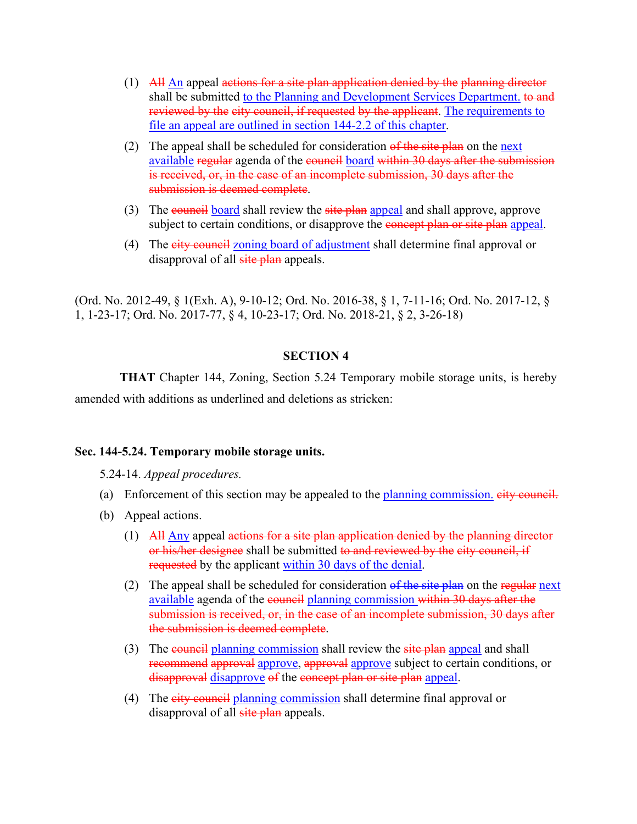- (1) All  $\overline{Ah}$  appeal actions for a site plan application denied by the planning director shall be submitted to the Planning and Development Services Department. to and reviewed by the city council, if requested by the applicant. The requirements to file an appeal are outlined in section 144-2.2 of this chapter.
- (2) The appeal shall be scheduled for consideration  $\theta$  filter  $\theta$  is the next available regular agenda of the council board within 30 days after the submission is received, or, in the case of an incomplete submission, 30 days after the submission is deemed complete.
- (3) The council board shall review the site plan appeal and shall approve, approve subject to certain conditions, or disapprove the **concept plan or site plan** appeal.
- (4) The city council zoning board of adjustment shall determine final approval or disapproval of all site plan appeals.

(Ord. No. 2012-49, § 1(Exh. A), 9-10-12; Ord. No. 2016-38, § 1, 7-11-16; Ord. No. 2017-12, § 1, 1-23-17; Ord. No. 2017-77, § 4, 10-23-17; Ord. No. 2018-21, § 2, 3-26-18)

# **SECTION 4**

**THAT** Chapter 144, Zoning, Section 5.24 Temporary mobile storage units, is hereby amended with additions as underlined and deletions as stricken:

### **Sec. 144-5.24. Temporary mobile storage units.**

5.24-14. *Appeal procedures.*

- (a) Enforcement of this section may be appealed to the planning commission.  $e^{i t y}$  council.
- (b) Appeal actions.
	- $(1)$  All Any appeal actions for a site plan application denied by the planning director or his/her designee shall be submitted to and reviewed by the city council, if requested by the applicant within 30 days of the denial.
	- (2) The appeal shall be scheduled for consideration of the site plan on the regular next available agenda of the council planning commission within 30 days after the submission is received, or, in the case of an incomplete submission, 30 days after the submission is deemed complete.
	- (3) The council planning commission shall review the site plan appeal and shall recommend approval approve, approval approve subject to certain conditions, or disapproval disapprove of the concept plan or site plan appeal.
	- (4) The eity council planning commission shall determine final approval or disapproval of all site plan appeals.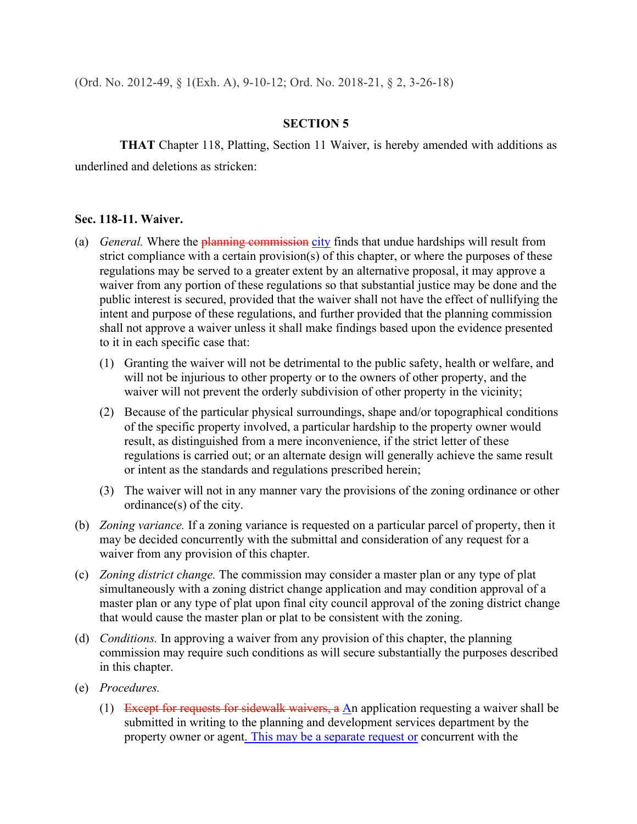(Ord. No. 2012-49, § 1(Exh. A), 9-10-12; Ord. No. 2018-21, § 2, 3-26-18)

# **SECTION 5**

**THAT** Chapter 118, Platting, Section 11 Waiver, is hereby amended with additions as underlined and deletions as stricken:

#### **Sec. 118-11. Waiver.**

- (a) *General.* Where the planning commission city finds that undue hardships will result from strict compliance with a certain provision(s) of this chapter, or where the purposes of these regulations may be served to a greater extent by an alternative proposal, it may approve a waiver from any portion of these regulations so that substantial justice may be done and the public interest is secured, provided that the waiver shall not have the effect of nullifying the intent and purpose of these regulations, and further provided that the planning commission shall not approve a waiver unless it shall make findings based upon the evidence presented to it in each specific case that:
	- (1) Granting the waiver will not be detrimental to the public safety, health or welfare, and will not be injurious to other property or to the owners of other property, and the waiver will not prevent the orderly subdivision of other property in the vicinity;
	- (2) Because of the particular physical surroundings, shape and/or topographical conditions of the specific property involved, a particular hardship to the property owner would result, as distinguished from a mere inconvenience, if the strict letter of these regulations is carried out; or an alternate design will generally achieve the same result or intent as the standards and regulations prescribed herein;
	- (3) The waiver will not in any manner vary the provisions of the zoning ordinance or other ordinance(s) of the city.
- (b) *Zoning variance.* If a zoning variance is requested on a particular parcel of property, then it may be decided concurrently with the submittal and consideration of any request for a waiver from any provision of this chapter.
- (c) *Zoning district change.* The commission may consider a master plan or any type of plat simultaneously with a zoning district change application and may condition approval of a master plan or any type of plat upon final city council approval of the zoning district change that would cause the master plan or plat to be consistent with the zoning.
- (d) *Conditions.* In approving a waiver from any provision of this chapter, the planning commission may require such conditions as will secure substantially the purposes described in this chapter.
- (e) *Procedures.*
	- (1) Except for requests for sidewalk waivers, a An application requesting a waiver shall be submitted in writing to the planning and development services department by the property owner or agent. This may be a separate request or concurrent with the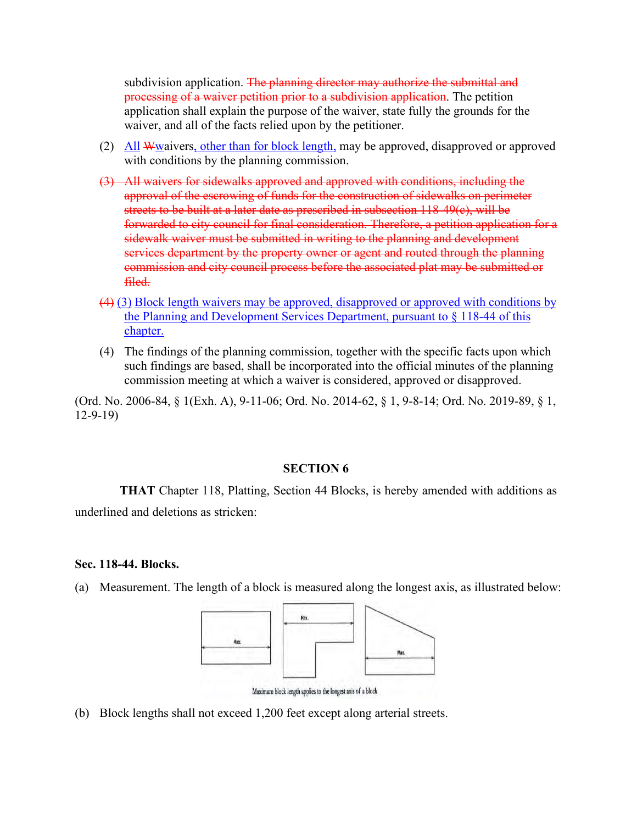subdivision application. The planning director may authorize the submittal and processing of a waiver petition prior to a subdivision application. The petition application shall explain the purpose of the waiver, state fully the grounds for the waiver, and all of the facts relied upon by the petitioner.

- (2) All Wwaivers, other than for block length, may be approved, disapproved or approved with conditions by the planning commission.
- (3) All waivers for sidewalks approved and approved with conditions, including the approval of the escrowing of funds for the construction of sidewalks on perimeter streets to be built at a later date as prescribed in subsection 118-49(c), will be forwarded to city council for final consideration. Therefore, a petition application for a sidewalk waiver must be submitted in writing to the planning and development services department by the property owner or agent and routed through the planning commission and city council process before the associated plat may be submitted or filed.
- (4) (3) Block length waivers may be approved, disapproved or approved with conditions by the Planning and Development Services Department, pursuant to § 118-44 of this chapter.
- (4) The findings of the planning commission, together with the specific facts upon which such findings are based, shall be incorporated into the official minutes of the planning commission meeting at which a waiver is considered, approved or disapproved.

(Ord. No. 2006-84, § 1(Exh. A), 9-11-06; Ord. No. 2014-62, § 1, 9-8-14; Ord. No. 2019-89, § 1, 12-9-19)

# **SECTION 6**

**THAT** Chapter 118, Platting, Section 44 Blocks, is hereby amended with additions as underlined and deletions as stricken:

#### **Sec. 118-44. Blocks.**

(a) Measurement. The length of a block is measured along the longest axis, as illustrated below:



Maximum block length applies to the longest axis of a block

(b) Block lengths shall not exceed 1,200 feet except along arterial streets.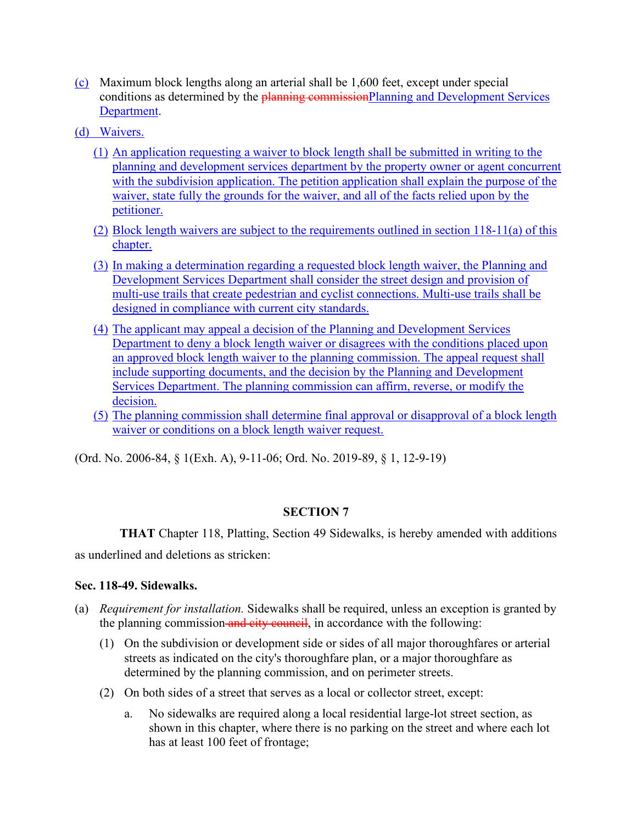- (c) Maximum block lengths along an arterial shall be 1,600 feet, except under special conditions as determined by the **planning commissionPlanning and Development Services** Department.
- (d) Waivers.
	- (1) An application requesting a waiver to block length shall be submitted in writing to the planning and development services department by the property owner or agent concurrent with the subdivision application. The petition application shall explain the purpose of the waiver, state fully the grounds for the waiver, and all of the facts relied upon by the petitioner.
	- (2) Block length waivers are subject to the requirements outlined in section 118-11(a) of this chapter.
	- (3) In making a determination regarding a requested block length waiver, the Planning and Development Services Department shall consider the street design and provision of multi-use trails that create pedestrian and cyclist connections. Multi-use trails shall be designed in compliance with current city standards.
	- (4) The applicant may appeal a decision of the Planning and Development Services Department to deny a block length waiver or disagrees with the conditions placed upon an approved block length waiver to the planning commission. The appeal request shall include supporting documents, and the decision by the Planning and Development Services Department. The planning commission can affirm, reverse, or modify the decision.
	- (5) The planning commission shall determine final approval or disapproval of a block length waiver or conditions on a block length waiver request.

(Ord. No. 2006-84, § 1(Exh. A), 9-11-06; Ord. No. 2019-89, § 1, 12-9-19)

# **SECTION 7**

**THAT** Chapter 118, Platting, Section 49 Sidewalks, is hereby amended with additions as underlined and deletions as stricken:

# **Sec. 118-49. Sidewalks.**

- (a) *Requirement for installation.* Sidewalks shall be required, unless an exception is granted by the planning commission and city council, in accordance with the following:
	- (1) On the subdivision or development side or sides of all major thoroughfares or arterial streets as indicated on the city's thoroughfare plan, or a major thoroughfare as determined by the planning commission, and on perimeter streets.
	- (2) On both sides of a street that serves as a local or collector street, except:
		- a. No sidewalks are required along a local residential large-lot street section, as shown in this chapter, where there is no parking on the street and where each lot has at least 100 feet of frontage;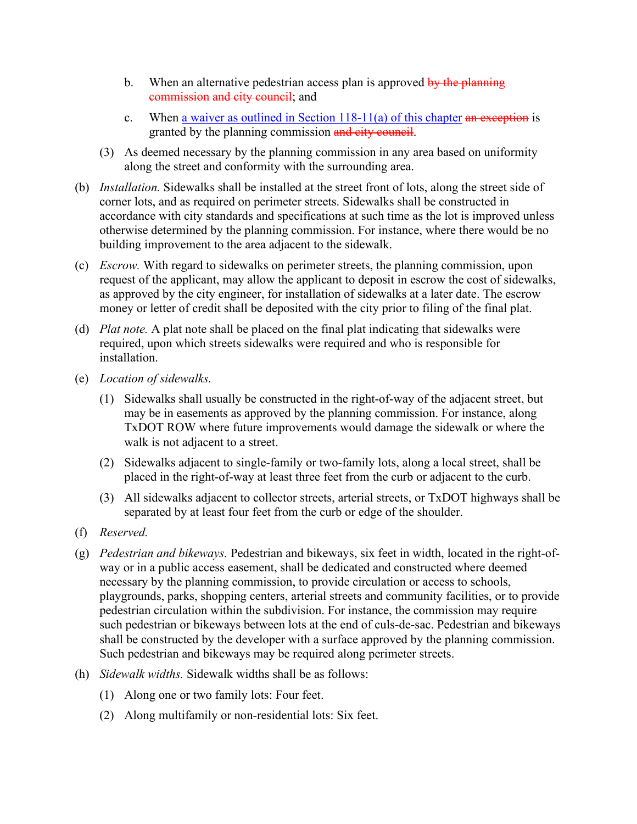- b. When an alternative pedestrian access plan is approved by the planning commission and city council; and
- c. When a waiver as outlined in Section  $118-11(a)$  of this chapter an exception is granted by the planning commission and city council.
- (3) As deemed necessary by the planning commission in any area based on uniformity along the street and conformity with the surrounding area.
- (b) *Installation.* Sidewalks shall be installed at the street front of lots, along the street side of corner lots, and as required on perimeter streets. Sidewalks shall be constructed in accordance with city standards and specifications at such time as the lot is improved unless otherwise determined by the planning commission. For instance, where there would be no building improvement to the area adjacent to the sidewalk.
- (c) *Escrow.* With regard to sidewalks on perimeter streets, the planning commission, upon request of the applicant, may allow the applicant to deposit in escrow the cost of sidewalks, as approved by the city engineer, for installation of sidewalks at a later date. The escrow money or letter of credit shall be deposited with the city prior to filing of the final plat.
- (d) *Plat note.* A plat note shall be placed on the final plat indicating that sidewalks were required, upon which streets sidewalks were required and who is responsible for installation.
- (e) *Location of sidewalks.*
	- (1) Sidewalks shall usually be constructed in the right-of-way of the adjacent street, but may be in easements as approved by the planning commission. For instance, along TxDOT ROW where future improvements would damage the sidewalk or where the walk is not adjacent to a street.
	- (2) Sidewalks adjacent to single-family or two-family lots, along a local street, shall be placed in the right-of-way at least three feet from the curb or adjacent to the curb.
	- (3) All sidewalks adjacent to collector streets, arterial streets, or TxDOT highways shall be separated by at least four feet from the curb or edge of the shoulder.
- (f) *Reserved.*
- (g) *Pedestrian and bikeways.* Pedestrian and bikeways, six feet in width, located in the right-ofway or in a public access easement, shall be dedicated and constructed where deemed necessary by the planning commission, to provide circulation or access to schools, playgrounds, parks, shopping centers, arterial streets and community facilities, or to provide pedestrian circulation within the subdivision. For instance, the commission may require such pedestrian or bikeways between lots at the end of culs-de-sac. Pedestrian and bikeways shall be constructed by the developer with a surface approved by the planning commission. Such pedestrian and bikeways may be required along perimeter streets.
- (h) *Sidewalk widths.* Sidewalk widths shall be as follows:
	- (1) Along one or two family lots: Four feet.
	- (2) Along multifamily or non-residential lots: Six feet.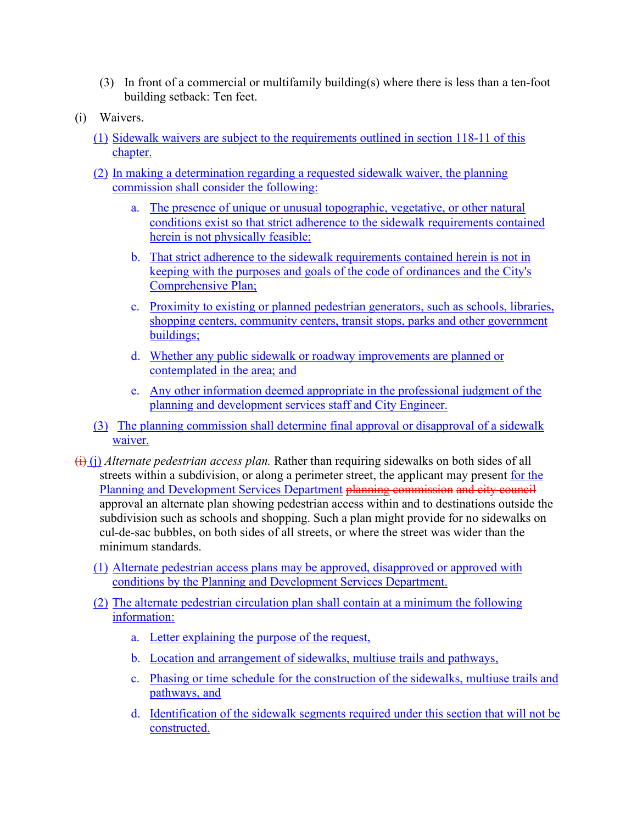- (3) In front of a commercial or multifamily building(s) where there is less than a ten-foot building setback: Ten feet.
- (i) Waivers.
	- (1) Sidewalk waivers are subject to the requirements outlined in section 118-11 of this chapter.
	- (2) In making a determination regarding a requested sidewalk waiver, the planning commission shall consider the following:
		- a. The presence of unique or unusual topographic, vegetative, or other natural conditions exist so that strict adherence to the sidewalk requirements contained herein is not physically feasible;
		- b. That strict adherence to the sidewalk requirements contained herein is not in keeping with the purposes and goals of the code of ordinances and the City's Comprehensive Plan;
		- c. Proximity to existing or planned pedestrian generators, such as schools, libraries, shopping centers, community centers, transit stops, parks and other government buildings;
		- d. Whether any public sidewalk or roadway improvements are planned or contemplated in the area; and
		- e. Any other information deemed appropriate in the professional judgment of the planning and development services staff and City Engineer.
	- (3) The planning commission shall determine final approval or disapproval of a sidewalk waiver.
- (i) (j) *Alternate pedestrian access plan.* Rather than requiring sidewalks on both sides of all streets within a subdivision, or along a perimeter street, the applicant may present for the Planning and Development Services Department planning commission and city council approval an alternate plan showing pedestrian access within and to destinations outside the subdivision such as schools and shopping. Such a plan might provide for no sidewalks on cul-de-sac bubbles, on both sides of all streets, or where the street was wider than the minimum standards.
	- (1) Alternate pedestrian access plans may be approved, disapproved or approved with conditions by the Planning and Development Services Department.
	- (2) The alternate pedestrian circulation plan shall contain at a minimum the following information:
		- a. Letter explaining the purpose of the request,
		- b. Location and arrangement of sidewalks, multiuse trails and pathways,
		- c. Phasing or time schedule for the construction of the sidewalks, multiuse trails and pathways, and
		- d. Identification of the sidewalk segments required under this section that will not be constructed.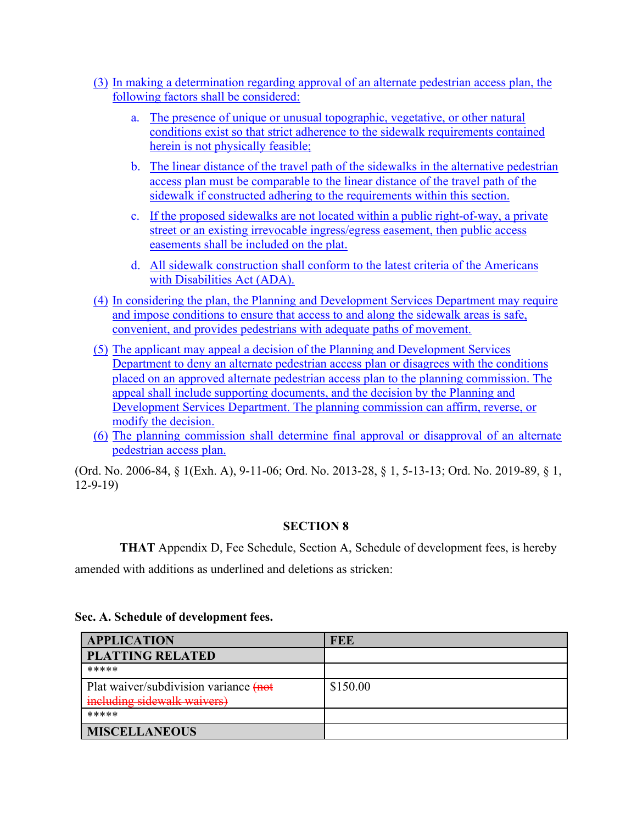- (3) In making a determination regarding approval of an alternate pedestrian access plan, the following factors shall be considered:
	- a. The presence of unique or unusual topographic, vegetative, or other natural conditions exist so that strict adherence to the sidewalk requirements contained herein is not physically feasible;
	- b. The linear distance of the travel path of the sidewalks in the alternative pedestrian access plan must be comparable to the linear distance of the travel path of the sidewalk if constructed adhering to the requirements within this section.
	- c. If the proposed sidewalks are not located within a public right-of-way, a private street or an existing irrevocable ingress/egress easement, then public access easements shall be included on the plat.
	- d. All sidewalk construction shall conform to the latest criteria of the Americans with Disabilities Act (ADA).
- (4) In considering the plan, the Planning and Development Services Department may require and impose conditions to ensure that access to and along the sidewalk areas is safe, convenient, and provides pedestrians with adequate paths of movement.
- (5) The applicant may appeal a decision of the Planning and Development Services Department to deny an alternate pedestrian access plan or disagrees with the conditions placed on an approved alternate pedestrian access plan to the planning commission. The appeal shall include supporting documents, and the decision by the Planning and Development Services Department. The planning commission can affirm, reverse, or modify the decision.
- (6) The planning commission shall determine final approval or disapproval of an alternate pedestrian access plan.

(Ord. No. 2006-84, § 1(Exh. A), 9-11-06; Ord. No. 2013-28, § 1, 5-13-13; Ord. No. 2019-89, § 1, 12-9-19)

# **SECTION 8**

**THAT** Appendix D, Fee Schedule, Section A, Schedule of development fees, is hereby

amended with additions as underlined and deletions as stricken:

# **Sec. A. Schedule of development fees.**

| <b>APPLICATION</b>                    | FEE      |
|---------------------------------------|----------|
| <b>PLATTING RELATED</b>               |          |
| *****                                 |          |
| Plat waiver/subdivision variance (not | \$150.00 |
| including sidewalk waivers)           |          |
| *****                                 |          |
| <b>MISCELLANEOUS</b>                  |          |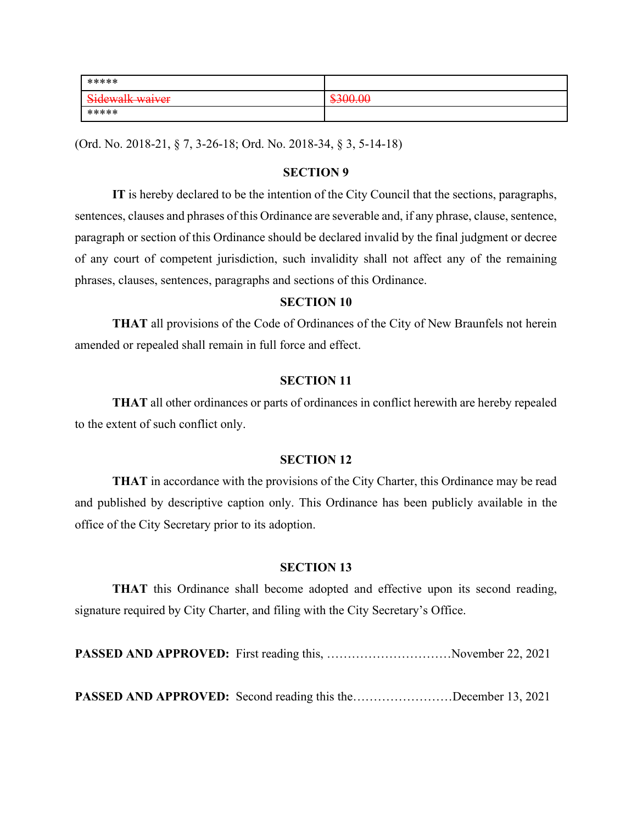| *****           |                                |
|-----------------|--------------------------------|
| Sidewalk waiver | $\Omega$<br><del>TJUU.UU</del> |
| *****           |                                |

(Ord. No. 2018-21, § 7, 3-26-18; Ord. No. 2018-34, § 3, 5-14-18)

# **SECTION 9**

**IT** is hereby declared to be the intention of the City Council that the sections, paragraphs, sentences, clauses and phrases of this Ordinance are severable and, if any phrase, clause, sentence, paragraph or section of this Ordinance should be declared invalid by the final judgment or decree of any court of competent jurisdiction, such invalidity shall not affect any of the remaining phrases, clauses, sentences, paragraphs and sections of this Ordinance.

# **SECTION 10**

**THAT** all provisions of the Code of Ordinances of the City of New Braunfels not herein amended or repealed shall remain in full force and effect.

#### **SECTION 11**

**THAT** all other ordinances or parts of ordinances in conflict herewith are hereby repealed to the extent of such conflict only.

#### **SECTION 12**

**THAT** in accordance with the provisions of the City Charter, this Ordinance may be read and published by descriptive caption only. This Ordinance has been publicly available in the office of the City Secretary prior to its adoption.

# **SECTION 13**

**THAT** this Ordinance shall become adopted and effective upon its second reading, signature required by City Charter, and filing with the City Secretary's Office.

PASSED AND APPROVED: First reading this, ................................November 22, 2021

**PASSED AND APPROVED:** Second reading this the……………………December 13, 2021